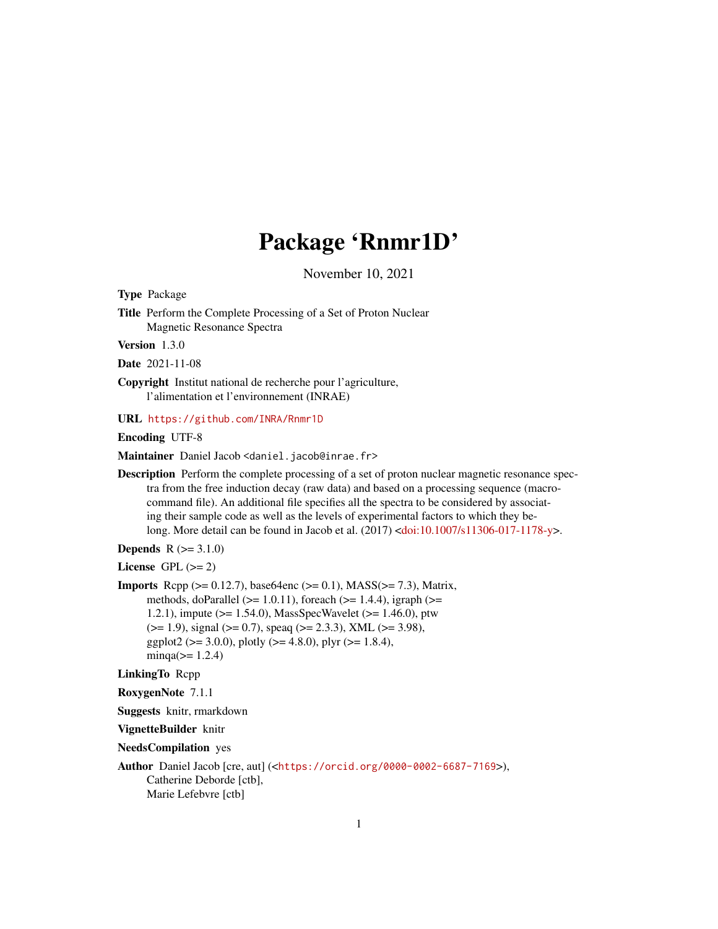# Package 'Rnmr1D'

November 10, 2021

<span id="page-0-0"></span>Type Package

Title Perform the Complete Processing of a Set of Proton Nuclear Magnetic Resonance Spectra

Version 1.3.0

Date 2021-11-08

Copyright Institut national de recherche pour l'agriculture, l'alimentation et l'environnement (INRAE)

URL <https://github.com/INRA/Rnmr1D>

Encoding UTF-8

Maintainer Daniel Jacob <daniel.jacob@inrae.fr>

Description Perform the complete processing of a set of proton nuclear magnetic resonance spectra from the free induction decay (raw data) and based on a processing sequence (macrocommand file). An additional file specifies all the spectra to be considered by associating their sample code as well as the levels of experimental factors to which they belong. More detail can be found in Jacob et al. (2017) [<doi:10.1007/s11306-017-1178-y>](https://doi.org/10.1007/s11306-017-1178-y).

**Depends**  $R (= 3.1.0)$ 

License GPL  $(>= 2)$ 

**Imports** Rcpp ( $>= 0.12.7$ ), base64enc ( $>= 0.1$ ), MASS( $>= 7.3$ ), Matrix, methods, doParallel ( $>= 1.0.11$ ), foreach ( $>= 1.4.4$ ), igraph ( $>=$ 1.2.1), impute (>= 1.54.0), MassSpecWavelet (>= 1.46.0), ptw  $(>= 1.9)$ , signal  $(>= 0.7)$ , speaq  $(>= 2.3.3)$ , XML  $(>= 3.98)$ , ggplot2 ( $> = 3.0.0$ ), plotly ( $>= 4.8.0$ ), plyr ( $>= 1.8.4$ ),  $minqa(>= 1.2.4)$ 

LinkingTo Rcpp

RoxygenNote 7.1.1

Suggests knitr, rmarkdown

VignetteBuilder knitr

NeedsCompilation yes

Author Daniel Jacob [cre, aut] (<<https://orcid.org/0000-0002-6687-7169>>), Catherine Deborde [ctb], Marie Lefebvre [ctb]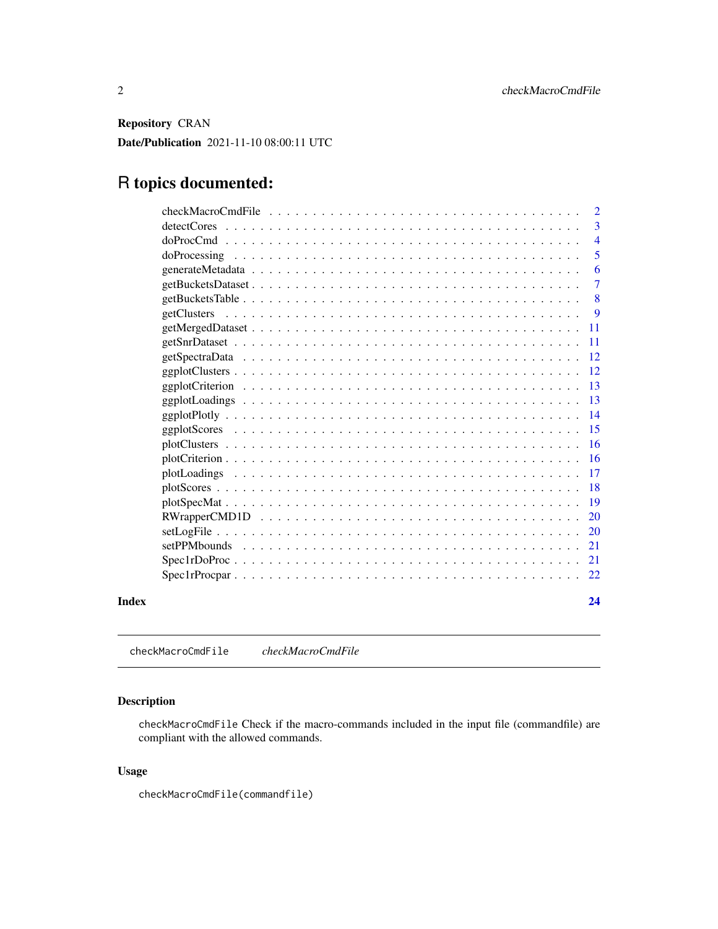<span id="page-1-0"></span>Repository CRAN

Date/Publication 2021-11-10 08:00:11 UTC

## R topics documented:

| Index |             | 24             |
|-------|-------------|----------------|
|       |             | 22             |
|       |             | 21             |
|       |             | 21             |
|       |             | 20             |
|       |             | 20             |
|       |             | 19             |
|       |             | 18             |
|       |             | 17             |
|       |             | <b>16</b>      |
|       |             | 16             |
|       |             | 15             |
|       |             | 14             |
|       |             | 13             |
|       |             | 13             |
|       |             | 12             |
|       |             | 12             |
|       |             | <b>11</b>      |
|       |             | 11             |
|       | getClusters | 9              |
|       |             | 8              |
|       |             | 6<br>7         |
|       |             | 5              |
|       |             | $\overline{4}$ |
|       |             | 3              |
|       |             | $\overline{2}$ |
|       |             |                |

checkMacroCmdFile *checkMacroCmdFile*

#### Description

checkMacroCmdFile Check if the macro-commands included in the input file (commandfile) are compliant with the allowed commands.

#### Usage

```
checkMacroCmdFile(commandfile)
```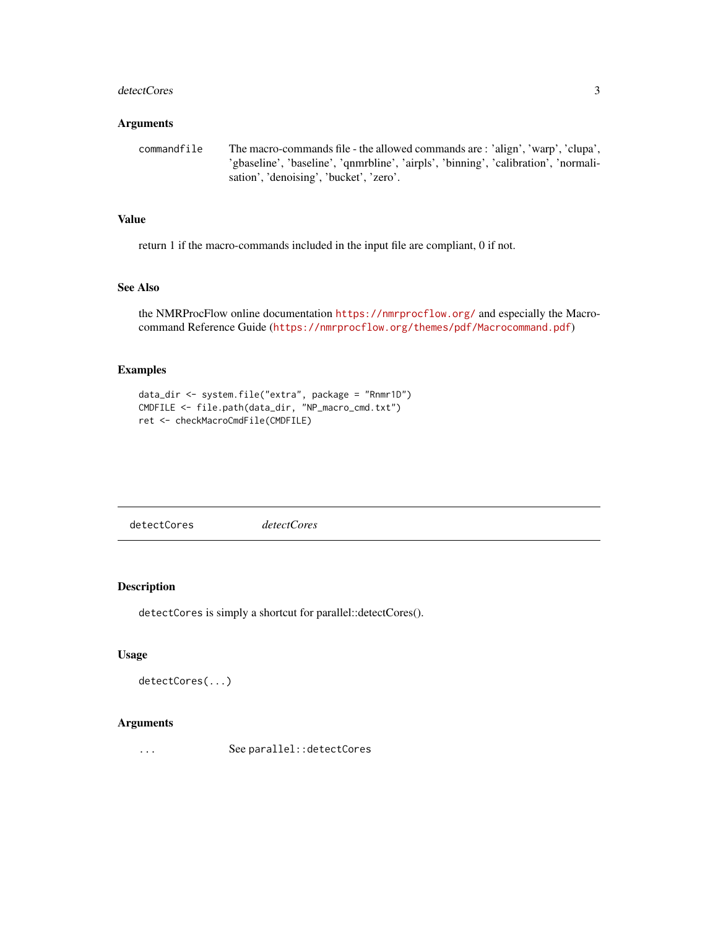#### <span id="page-2-0"></span>detectCores 3

#### Arguments

```
commandfile The macro-commands file - the allowed commands are : 'align', 'warp', 'clupa',
                   'gbaseline', 'baseline', 'qnmrbline', 'airpls', 'binning', 'calibration', 'normali-
                   sation', 'denoising', 'bucket', 'zero'.
```
#### Value

return 1 if the macro-commands included in the input file are compliant, 0 if not.

#### See Also

the NMRProcFlow online documentation <https://nmrprocflow.org/> and especially the Macrocommand Reference Guide (<https://nmrprocflow.org/themes/pdf/Macrocommand.pdf>)

#### Examples

```
data_dir <- system.file("extra", package = "Rnmr1D")
CMDFILE <- file.path(data_dir, "NP_macro_cmd.txt")
ret <- checkMacroCmdFile(CMDFILE)
```
detectCores *detectCores*

#### Description

detectCores is simply a shortcut for parallel::detectCores().

#### Usage

```
detectCores(...)
```
#### Arguments

... See parallel::detectCores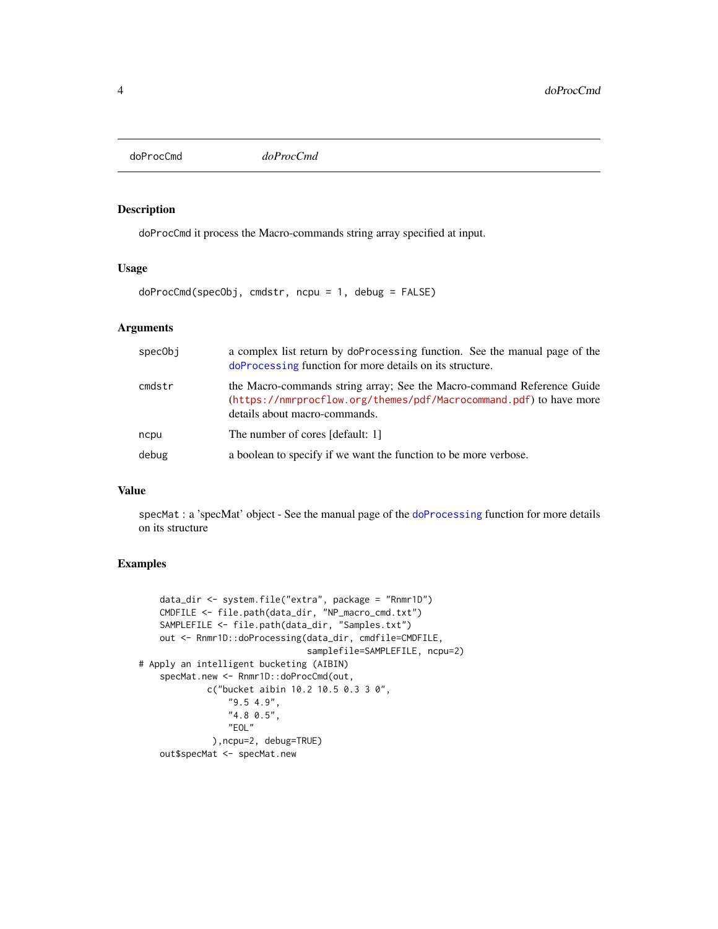<span id="page-3-0"></span>doProcCmd *doProcCmd*

#### Description

doProcCmd it process the Macro-commands string array specified at input.

#### Usage

doProcCmd(specObj, cmdstr, ncpu = 1, debug = FALSE)

#### Arguments

| specObi | a complex list return by doProcessing function. See the manual page of the<br>doProcessing function for more details on its structure.                                        |  |
|---------|-------------------------------------------------------------------------------------------------------------------------------------------------------------------------------|--|
| cmdstr  | the Macro-commands string array; See the Macro-command Reference Guide<br>(https://nmrprocflow.org/themes/pdf/Macrocommand.pdf) to have more<br>details about macro-commands. |  |
| ncpu    | The number of cores [default: 1]                                                                                                                                              |  |
| debug   | a boolean to specify if we want the function to be more verbose.                                                                                                              |  |

#### Value

specMat : a 'specMat' object - See the manual page of the [doProcessing](#page-4-1) function for more details on its structure

#### Examples

```
data_dir <- system.file("extra", package = "Rnmr1D")
   CMDFILE <- file.path(data_dir, "NP_macro_cmd.txt")
   SAMPLEFILE <- file.path(data_dir, "Samples.txt")
   out <- Rnmr1D::doProcessing(data_dir, cmdfile=CMDFILE,
                                samplefile=SAMPLEFILE, ncpu=2)
# Apply an intelligent bucketing (AIBIN)
    specMat.new <- Rnmr1D::doProcCmd(out,
             c("bucket aibin 10.2 10.5 0.3 3 0",
                 "9.5 4.9",
                 "4.8 0.5",
                 "EOL"
             ),ncpu=2, debug=TRUE)
    out$specMat <- specMat.new
```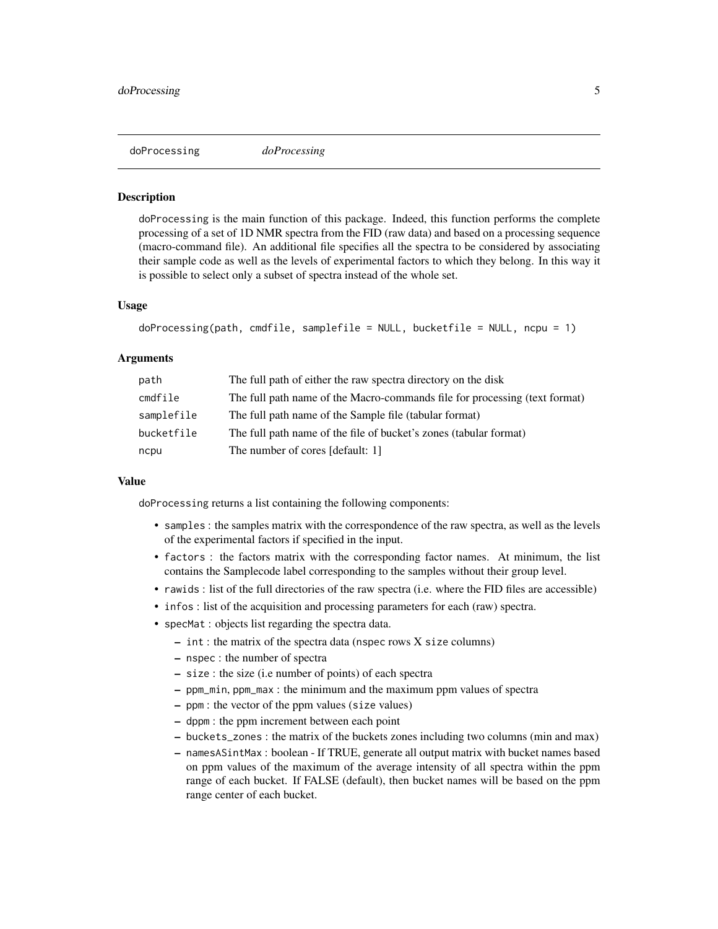<span id="page-4-1"></span><span id="page-4-0"></span>

#### **Description**

doProcessing is the main function of this package. Indeed, this function performs the complete processing of a set of 1D NMR spectra from the FID (raw data) and based on a processing sequence (macro-command file). An additional file specifies all the spectra to be considered by associating their sample code as well as the levels of experimental factors to which they belong. In this way it is possible to select only a subset of spectra instead of the whole set.

#### Usage

```
doProcessing(path, cmdfile, samplefile = NULL, bucketfile = NULL, ncpu = 1)
```
#### Arguments

| path       | The full path of either the raw spectra directory on the disk              |
|------------|----------------------------------------------------------------------------|
| cmdfile    | The full path name of the Macro-commands file for processing (text format) |
| samplefile | The full path name of the Sample file (tabular format)                     |
| bucketfile | The full path name of the file of bucket's zones (tabular format)          |
| ncpu       | The number of cores [default: 1]                                           |

#### Value

doProcessing returns a list containing the following components:

- samples : the samples matrix with the correspondence of the raw spectra, as well as the levels of the experimental factors if specified in the input.
- factors : the factors matrix with the corresponding factor names. At minimum, the list contains the Samplecode label corresponding to the samples without their group level.
- rawids : list of the full directories of the raw spectra (i.e. where the FID files are accessible)
- infos : list of the acquisition and processing parameters for each (raw) spectra.
- specMat : objects list regarding the spectra data.
	- int : the matrix of the spectra data (nspec rows X size columns)
	- nspec : the number of spectra
	- size : the size (i.e number of points) of each spectra
	- ppm\_min, ppm\_max : the minimum and the maximum ppm values of spectra
	- ppm : the vector of the ppm values (size values)
	- dppm : the ppm increment between each point
	- buckets\_zones : the matrix of the buckets zones including two columns (min and max)
	- namesASintMax : boolean If TRUE, generate all output matrix with bucket names based on ppm values of the maximum of the average intensity of all spectra within the ppm range of each bucket. If FALSE (default), then bucket names will be based on the ppm range center of each bucket.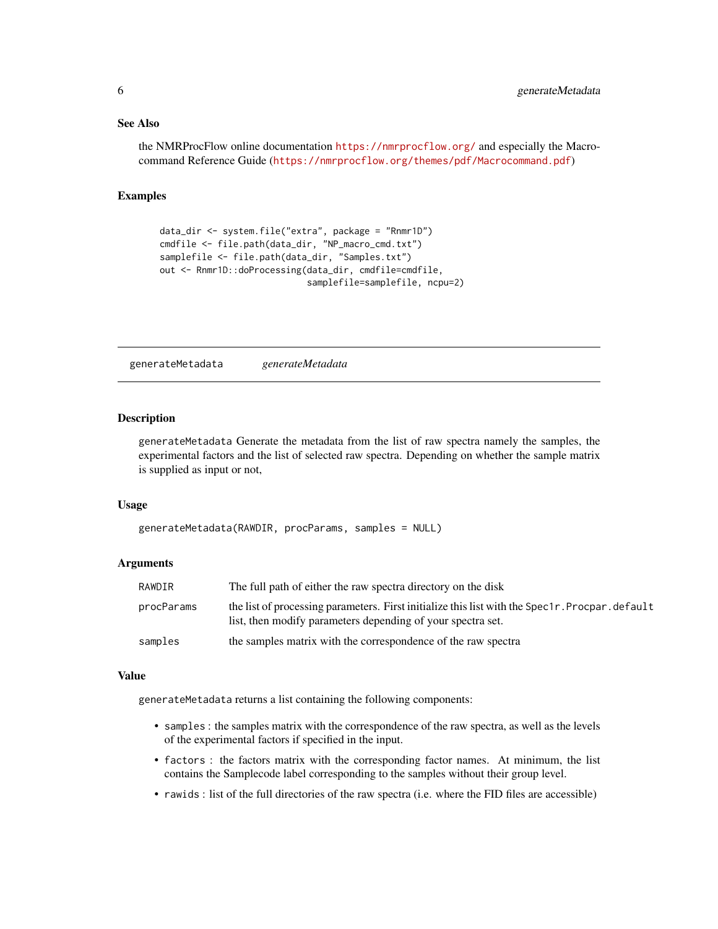#### <span id="page-5-0"></span>See Also

the NMRProcFlow online documentation <https://nmrprocflow.org/> and especially the Macrocommand Reference Guide (<https://nmrprocflow.org/themes/pdf/Macrocommand.pdf>)

#### Examples

```
data_dir <- system.file("extra", package = "Rnmr1D")
cmdfile <- file.path(data_dir, "NP_macro_cmd.txt")
samplefile <- file.path(data_dir, "Samples.txt")
out <- Rnmr1D::doProcessing(data_dir, cmdfile=cmdfile,
                            samplefile=samplefile, ncpu=2)
```
generateMetadata *generateMetadata*

#### Description

generateMetadata Generate the metadata from the list of raw spectra namely the samples, the experimental factors and the list of selected raw spectra. Depending on whether the sample matrix is supplied as input or not,

#### Usage

```
generateMetadata(RAWDIR, procParams, samples = NULL)
```
#### Arguments

| RAWDIR     | The full path of either the raw spectra directory on the disk                                                                                                  |
|------------|----------------------------------------------------------------------------------------------------------------------------------------------------------------|
| procParams | the list of processing parameters. First initialize this list with the Spec1r. Procpar. default<br>list, then modify parameters depending of your spectra set. |
| samples    | the samples matrix with the correspondence of the raw spectra                                                                                                  |

#### Value

generateMetadata returns a list containing the following components:

- samples : the samples matrix with the correspondence of the raw spectra, as well as the levels of the experimental factors if specified in the input.
- factors : the factors matrix with the corresponding factor names. At minimum, the list contains the Samplecode label corresponding to the samples without their group level.
- rawids : list of the full directories of the raw spectra (i.e. where the FID files are accessible)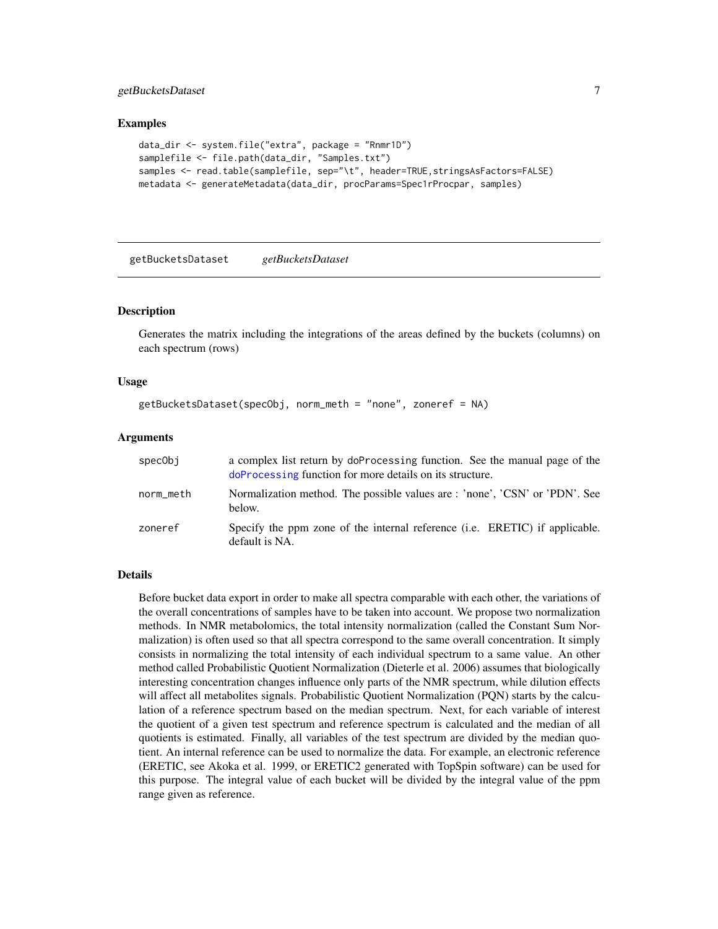#### <span id="page-6-0"></span>getBucketsDataset 7

#### Examples

```
data_dir <- system.file("extra", package = "Rnmr1D")
samplefile <- file.path(data_dir, "Samples.txt")
samples <- read.table(samplefile, sep="\t", header=TRUE,stringsAsFactors=FALSE)
metadata <- generateMetadata(data_dir, procParams=Spec1rProcpar, samples)
```
getBucketsDataset *getBucketsDataset*

#### **Description**

Generates the matrix including the integrations of the areas defined by the buckets (columns) on each spectrum (rows)

#### Usage

```
getBucketsDataset(specObj, norm_meth = "none", zoneref = NA)
```
#### Arguments

| specObi   | a complex list return by doProcessing function. See the manual page of the<br>doProcessing function for more details on its structure. |  |
|-----------|----------------------------------------------------------------------------------------------------------------------------------------|--|
| norm_meth | Normalization method. The possible values are : 'none', 'CSN' or 'PDN'. See<br>below.                                                  |  |
| zoneref   | Specify the ppm zone of the internal reference (i.e. ERETIC) if applicable.<br>default is NA.                                          |  |

#### Details

Before bucket data export in order to make all spectra comparable with each other, the variations of the overall concentrations of samples have to be taken into account. We propose two normalization methods. In NMR metabolomics, the total intensity normalization (called the Constant Sum Normalization) is often used so that all spectra correspond to the same overall concentration. It simply consists in normalizing the total intensity of each individual spectrum to a same value. An other method called Probabilistic Quotient Normalization (Dieterle et al. 2006) assumes that biologically interesting concentration changes influence only parts of the NMR spectrum, while dilution effects will affect all metabolites signals. Probabilistic Quotient Normalization (PQN) starts by the calculation of a reference spectrum based on the median spectrum. Next, for each variable of interest the quotient of a given test spectrum and reference spectrum is calculated and the median of all quotients is estimated. Finally, all variables of the test spectrum are divided by the median quotient. An internal reference can be used to normalize the data. For example, an electronic reference (ERETIC, see Akoka et al. 1999, or ERETIC2 generated with TopSpin software) can be used for this purpose. The integral value of each bucket will be divided by the integral value of the ppm range given as reference.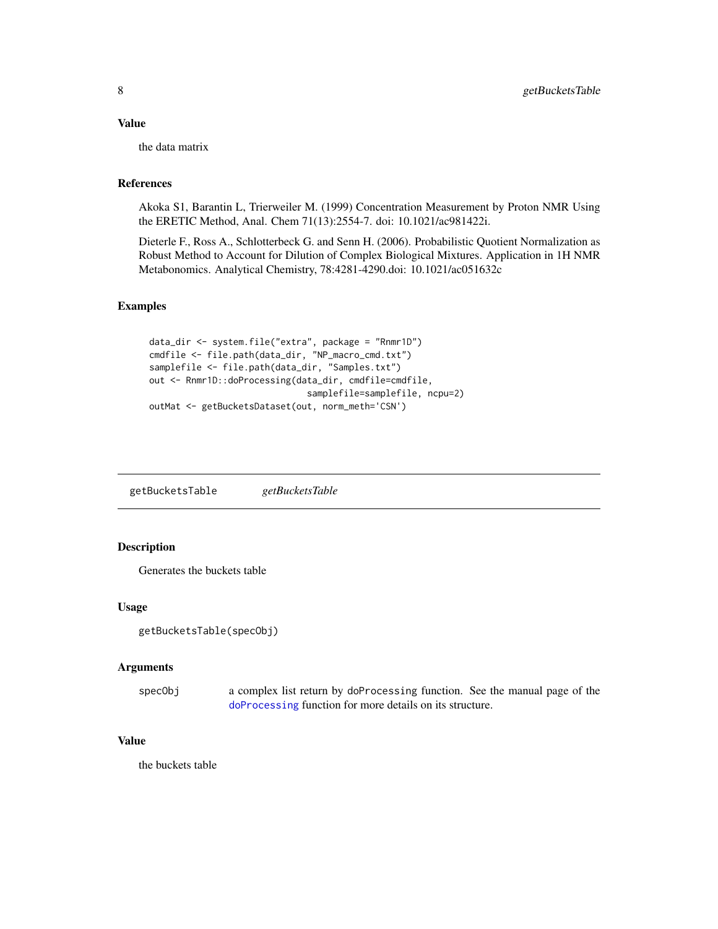#### <span id="page-7-0"></span>Value

the data matrix

#### References

Akoka S1, Barantin L, Trierweiler M. (1999) Concentration Measurement by Proton NMR Using the ERETIC Method, Anal. Chem 71(13):2554-7. doi: 10.1021/ac981422i.

Dieterle F., Ross A., Schlotterbeck G. and Senn H. (2006). Probabilistic Quotient Normalization as Robust Method to Account for Dilution of Complex Biological Mixtures. Application in 1H NMR Metabonomics. Analytical Chemistry, 78:4281-4290.doi: 10.1021/ac051632c

#### Examples

```
data_dir <- system.file("extra", package = "Rnmr1D")
cmdfile <- file.path(data_dir, "NP_macro_cmd.txt")
samplefile <- file.path(data_dir, "Samples.txt")
out <- Rnmr1D::doProcessing(data_dir, cmdfile=cmdfile,
                              samplefile=samplefile, ncpu=2)
outMat <- getBucketsDataset(out, norm_meth='CSN')
```
getBucketsTable *getBucketsTable*

#### Description

Generates the buckets table

#### Usage

```
getBucketsTable(specObj)
```
#### Arguments

specObj a complex list return by doProcessing function. See the manual page of the [doProcessing](#page-4-1) function for more details on its structure.

#### Value

the buckets table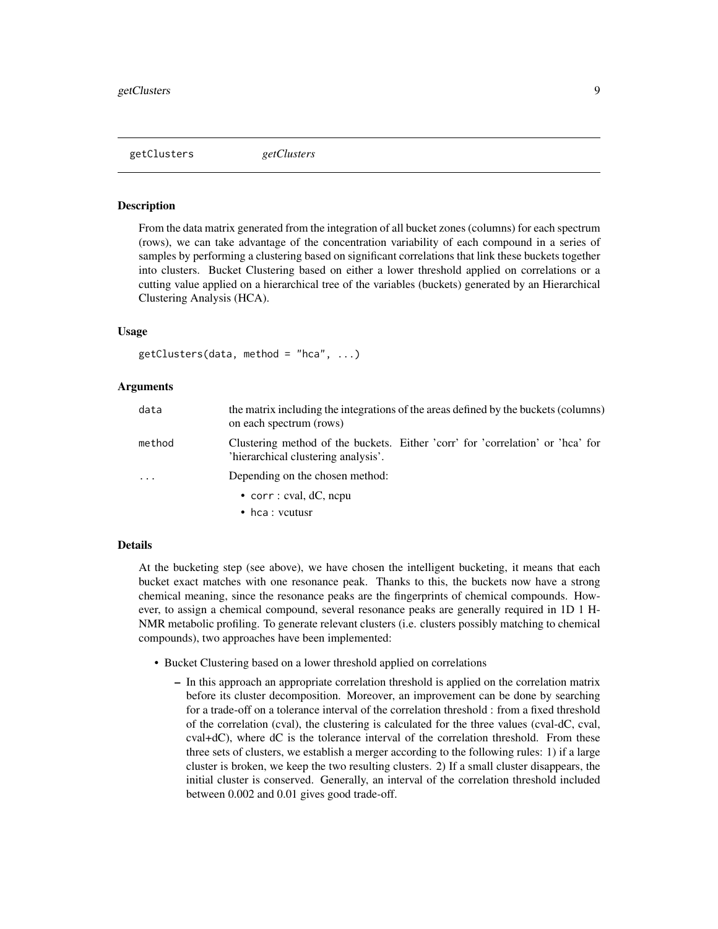<span id="page-8-0"></span>getClusters *getClusters*

#### **Description**

From the data matrix generated from the integration of all bucket zones (columns) for each spectrum (rows), we can take advantage of the concentration variability of each compound in a series of samples by performing a clustering based on significant correlations that link these buckets together into clusters. Bucket Clustering based on either a lower threshold applied on correlations or a cutting value applied on a hierarchical tree of the variables (buckets) generated by an Hierarchical Clustering Analysis (HCA).

#### Usage

```
getClusters(data, method = "hca", ...)
```
#### Arguments

| data                    | the matrix including the integrations of the areas defined by the buckets (columns)<br>on each spectrum (rows)        |  |
|-------------------------|-----------------------------------------------------------------------------------------------------------------------|--|
| method                  | Clustering method of the buckets. Either 'corr' for 'correlation' or 'hea' for<br>'hierarchical clustering analysis'. |  |
| $\cdot$ $\cdot$ $\cdot$ | Depending on the chosen method:                                                                                       |  |
|                         | • corr : cval, $dC$ , nepu                                                                                            |  |
|                         | • hca : vcutusr                                                                                                       |  |

#### Details

At the bucketing step (see above), we have chosen the intelligent bucketing, it means that each bucket exact matches with one resonance peak. Thanks to this, the buckets now have a strong chemical meaning, since the resonance peaks are the fingerprints of chemical compounds. However, to assign a chemical compound, several resonance peaks are generally required in 1D 1 H-NMR metabolic profiling. To generate relevant clusters (i.e. clusters possibly matching to chemical compounds), two approaches have been implemented:

- Bucket Clustering based on a lower threshold applied on correlations
	- In this approach an appropriate correlation threshold is applied on the correlation matrix before its cluster decomposition. Moreover, an improvement can be done by searching for a trade-off on a tolerance interval of the correlation threshold : from a fixed threshold of the correlation (cval), the clustering is calculated for the three values (cval-dC, cval, cval+dC), where dC is the tolerance interval of the correlation threshold. From these three sets of clusters, we establish a merger according to the following rules: 1) if a large cluster is broken, we keep the two resulting clusters. 2) If a small cluster disappears, the initial cluster is conserved. Generally, an interval of the correlation threshold included between 0.002 and 0.01 gives good trade-off.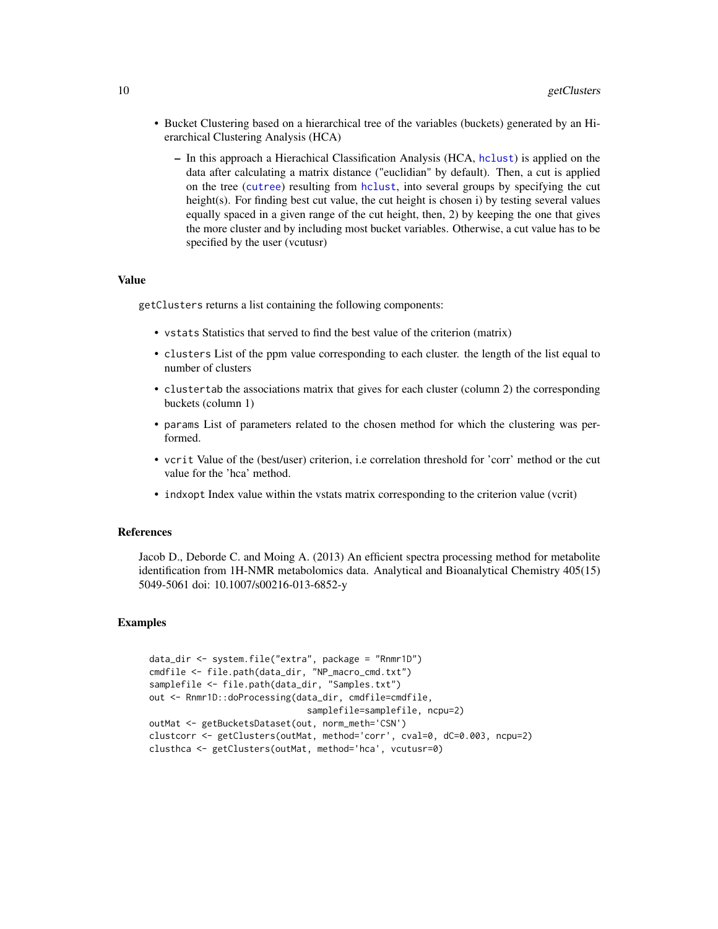- <span id="page-9-0"></span>• Bucket Clustering based on a hierarchical tree of the variables (buckets) generated by an Hierarchical Clustering Analysis (HCA)
	- In this approach a Hierachical Classification Analysis (HCA, [hclust](#page-0-0)) is applied on the data after calculating a matrix distance ("euclidian" by default). Then, a cut is applied on the tree ([cutree](#page-0-0)) resulting from [hclust](#page-0-0), into several groups by specifying the cut height(s). For finding best cut value, the cut height is chosen i) by testing several values equally spaced in a given range of the cut height, then, 2) by keeping the one that gives the more cluster and by including most bucket variables. Otherwise, a cut value has to be specified by the user (vcutusr)

#### Value

getClusters returns a list containing the following components:

- vstats Statistics that served to find the best value of the criterion (matrix)
- clusters List of the ppm value corresponding to each cluster. the length of the list equal to number of clusters
- clustertab the associations matrix that gives for each cluster (column 2) the corresponding buckets (column 1)
- params List of parameters related to the chosen method for which the clustering was performed.
- vcrit Value of the (best/user) criterion, i.e correlation threshold for 'corr' method or the cut value for the 'hca' method.
- indxopt Index value within the vstats matrix corresponding to the criterion value (vcrit)

#### References

Jacob D., Deborde C. and Moing A. (2013) An efficient spectra processing method for metabolite identification from 1H-NMR metabolomics data. Analytical and Bioanalytical Chemistry 405(15) 5049-5061 doi: 10.1007/s00216-013-6852-y

#### Examples

```
data_dir <- system.file("extra", package = "Rnmr1D")
cmdfile <- file.path(data_dir, "NP_macro_cmd.txt")
samplefile <- file.path(data_dir, "Samples.txt")
out <- Rnmr1D::doProcessing(data_dir, cmdfile=cmdfile,
                              samplefile=samplefile, ncpu=2)
outMat <- getBucketsDataset(out, norm_meth='CSN')
clustcorr <- getClusters(outMat, method='corr', cval=0, dC=0.003, ncpu=2)
clusthca <- getClusters(outMat, method='hca', vcutusr=0)
```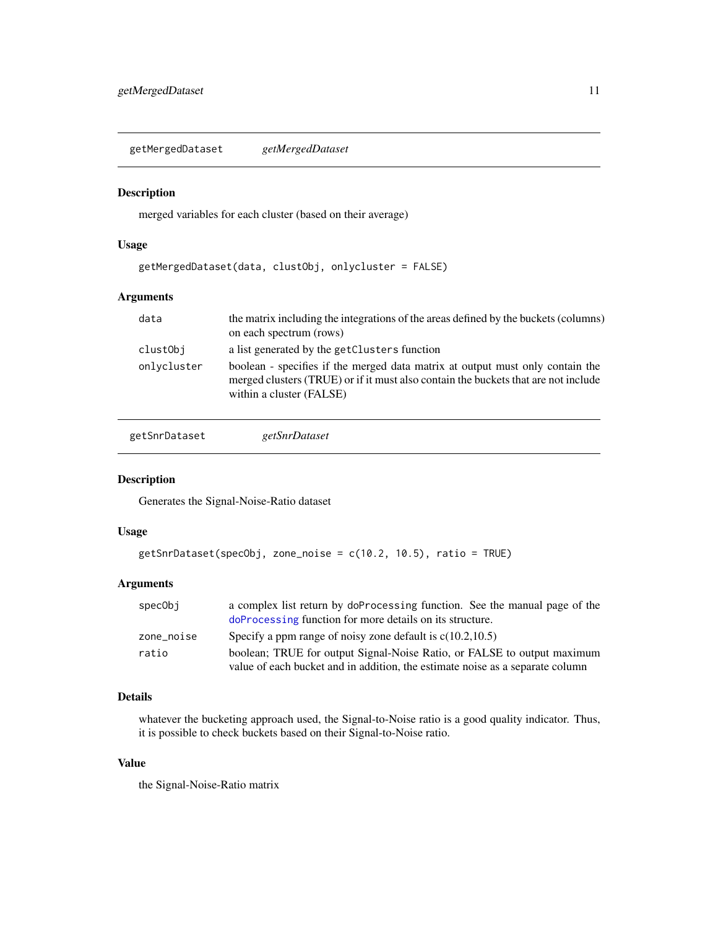<span id="page-10-0"></span>getMergedDataset *getMergedDataset*

#### Description

merged variables for each cluster (based on their average)

#### Usage

```
getMergedDataset(data, clustObj, onlycluster = FALSE)
```
#### Arguments

| data        | the matrix including the integrations of the areas defined by the buckets (columns)<br>on each spectrum (rows)                                                                                  |
|-------------|-------------------------------------------------------------------------------------------------------------------------------------------------------------------------------------------------|
| clustObj    | a list generated by the getClusters function                                                                                                                                                    |
| onlycluster | boolean - specifies if the merged data matrix at output must only contain the<br>merged clusters (TRUE) or if it must also contain the buckets that are not include<br>within a cluster (FALSE) |

getSnrDataset *getSnrDataset*

#### Description

Generates the Signal-Noise-Ratio dataset

#### Usage

```
getSnrDataset(specObj, zone_noise = c(10.2, 10.5), ratio = TRUE)
```
#### Arguments

| specObi    | a complex list return by doProcessing function. See the manual page of the    |
|------------|-------------------------------------------------------------------------------|
|            | doProcessing function for more details on its structure.                      |
| zone noise | Specify a ppm range of noisy zone default is $c(10.2, 10.5)$                  |
| ratio      | boolean; TRUE for output Signal-Noise Ratio, or FALSE to output maximum       |
|            | value of each bucket and in addition, the estimate noise as a separate column |

#### Details

whatever the bucketing approach used, the Signal-to-Noise ratio is a good quality indicator. Thus, it is possible to check buckets based on their Signal-to-Noise ratio.

#### Value

the Signal-Noise-Ratio matrix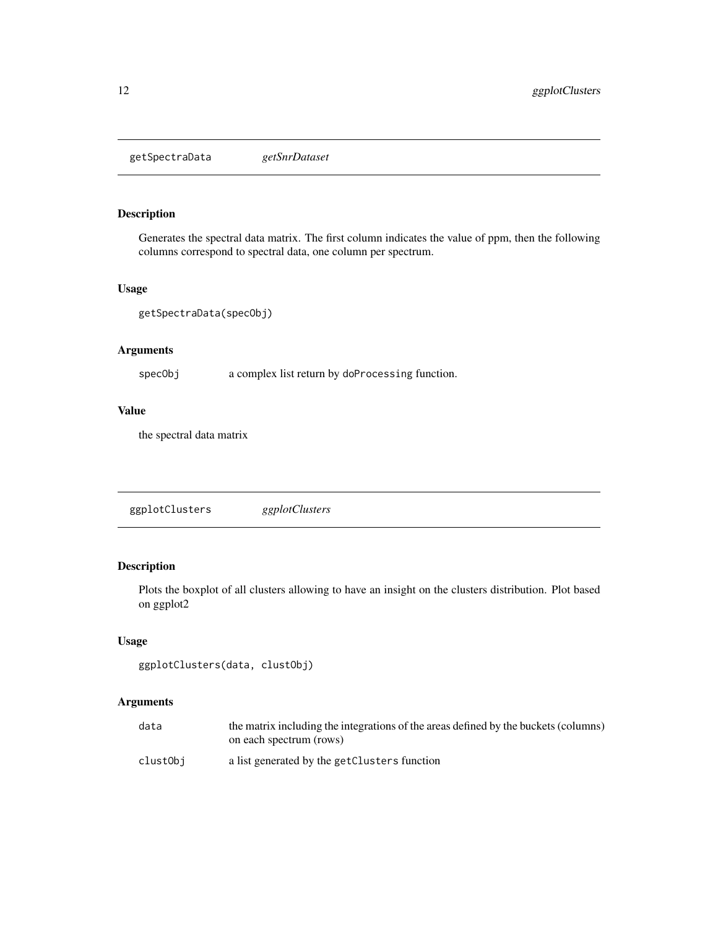<span id="page-11-0"></span>getSpectraData *getSnrDataset*

#### Description

Generates the spectral data matrix. The first column indicates the value of ppm, then the following columns correspond to spectral data, one column per spectrum.

#### Usage

getSpectraData(specObj)

#### Arguments

specObj a complex list return by doProcessing function.

#### Value

the spectral data matrix

ggplotClusters *ggplotClusters*

#### Description

Plots the boxplot of all clusters allowing to have an insight on the clusters distribution. Plot based on ggplot2

#### Usage

```
ggplotClusters(data, clustObj)
```

| data     | the matrix including the integrations of the areas defined by the buckets (columns) |
|----------|-------------------------------------------------------------------------------------|
|          | on each spectrum (rows)                                                             |
| clustObi | a list generated by the getClusters function                                        |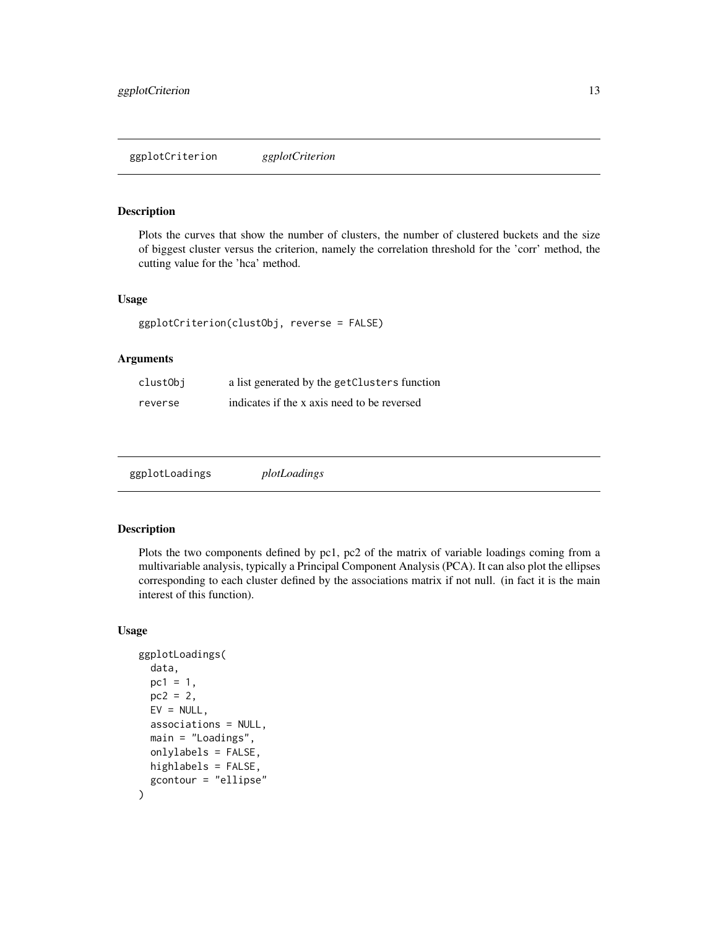#### <span id="page-12-0"></span>Description

Plots the curves that show the number of clusters, the number of clustered buckets and the size of biggest cluster versus the criterion, namely the correlation threshold for the 'corr' method, the cutting value for the 'hca' method.

#### Usage

```
ggplotCriterion(clustObj, reverse = FALSE)
```
#### Arguments

| clustObj | a list generated by the getClusters function |
|----------|----------------------------------------------|
| reverse  | indicates if the x axis need to be reversed  |

| ggplotLoadings | plotLoadings |
|----------------|--------------|
|                |              |

#### Description

Plots the two components defined by pc1, pc2 of the matrix of variable loadings coming from a multivariable analysis, typically a Principal Component Analysis (PCA). It can also plot the ellipses corresponding to each cluster defined by the associations matrix if not null. (in fact it is the main interest of this function).

#### Usage

```
ggplotLoadings(
  data,
  pc1 = 1,
  pc2 = 2,
 EV = NULL,associations = NULL,
  main = "Loadings",
  onlylabels = FALSE,
 highlabels = FALSE,
  gcontour = "ellipse"
)
```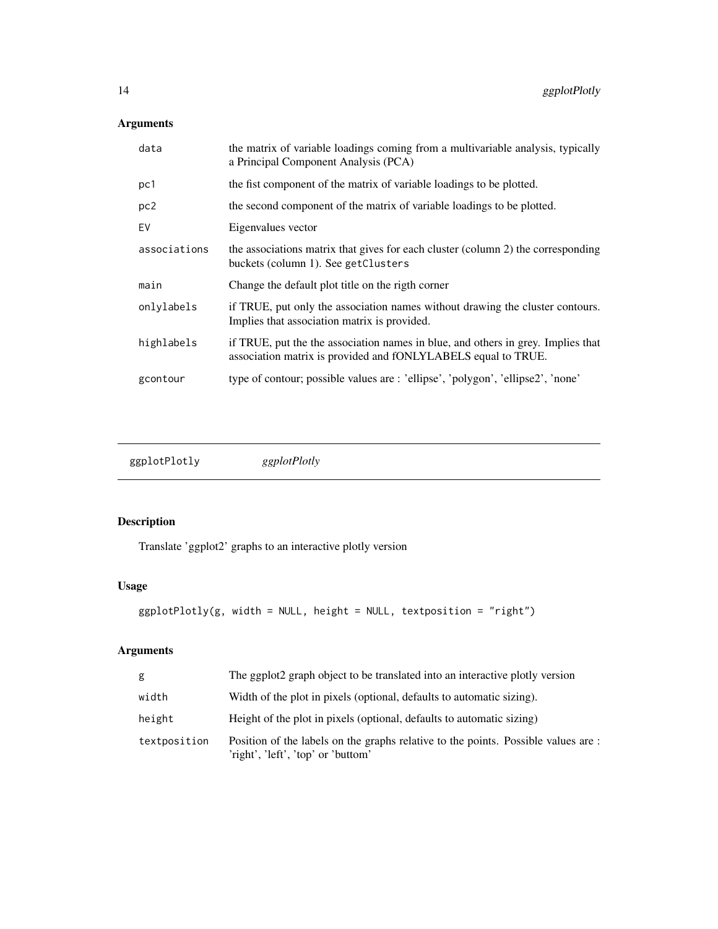#### <span id="page-13-0"></span>Arguments

| data            | the matrix of variable loadings coming from a multivariable analysis, typically<br>a Principal Component Analysis (PCA)                           |
|-----------------|---------------------------------------------------------------------------------------------------------------------------------------------------|
| pc1             | the fist component of the matrix of variable loadings to be plotted.                                                                              |
| pc <sub>2</sub> | the second component of the matrix of variable loadings to be plotted.                                                                            |
| EV              | Eigenvalues vector                                                                                                                                |
| associations    | the associations matrix that gives for each cluster (column 2) the corresponding<br>buckets (column 1). See getClusters                           |
| main            | Change the default plot title on the rigth corner                                                                                                 |
| onlylabels      | if TRUE, put only the association names without drawing the cluster contours.<br>Implies that association matrix is provided.                     |
| highlabels      | if TRUE, put the the association names in blue, and others in grey. Implies that<br>association matrix is provided and fONLYLABELS equal to TRUE. |
| gcontour        | type of contour; possible values are : 'ellipse', 'polygon', 'ellipse2', 'none'                                                                   |
|                 |                                                                                                                                                   |

ggplotPlotly *ggplotPlotly*

### Description

Translate 'ggplot2' graphs to an interactive plotly version

#### Usage

```
ggplotPlotly(g, width = NULL, height = NULL, textposition = "right")
```

| g            | The ggplot2 graph object to be translated into an interactive plotly version                                            |
|--------------|-------------------------------------------------------------------------------------------------------------------------|
| width        | Width of the plot in pixels (optional, defaults to automatic sizing).                                                   |
| height       | Height of the plot in pixels (optional, defaults to automatic sizing)                                                   |
| textposition | Position of the labels on the graphs relative to the points. Possible values are:<br>'right', 'left', 'top' or 'buttom' |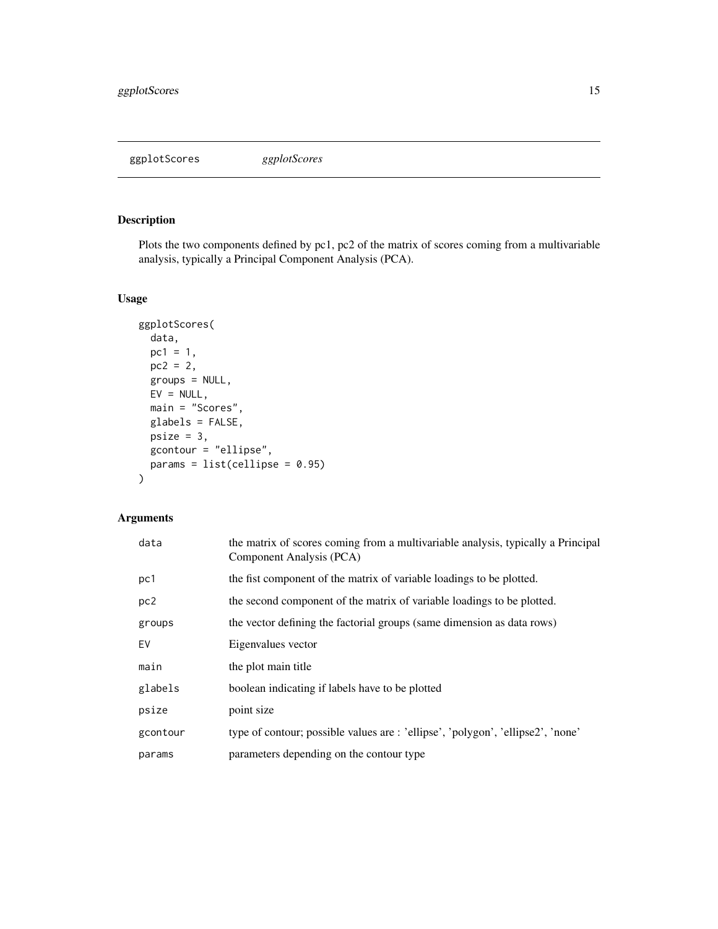<span id="page-14-0"></span>ggplotScores *ggplotScores*

#### Description

Plots the two components defined by pc1, pc2 of the matrix of scores coming from a multivariable analysis, typically a Principal Component Analysis (PCA).

#### Usage

```
ggplotScores(
 data,
 pc1 = 1,
 pc2 = 2,
 groups = NULL,
 EV = NULL,main = "Scores",
 glabels = FALSE,
 psize = 3,gcontour = "ellipse",
 params = list(celling = 0.95)\mathcal{L}
```

| data            | the matrix of scores coming from a multivariable analysis, typically a Principal<br>Component Analysis (PCA) |
|-----------------|--------------------------------------------------------------------------------------------------------------|
| pc1             | the fist component of the matrix of variable loadings to be plotted.                                         |
| pc <sub>2</sub> | the second component of the matrix of variable loadings to be plotted.                                       |
| groups          | the vector defining the factorial groups (same dimension as data rows)                                       |
| EV              | Eigenvalues vector                                                                                           |
| main            | the plot main title                                                                                          |
| glabels         | boolean indicating if labels have to be plotted                                                              |
| psize           | point size                                                                                                   |
| gcontour        | type of contour; possible values are : 'ellipse', 'polygon', 'ellipse2', 'none'                              |
| params          | parameters depending on the contour type                                                                     |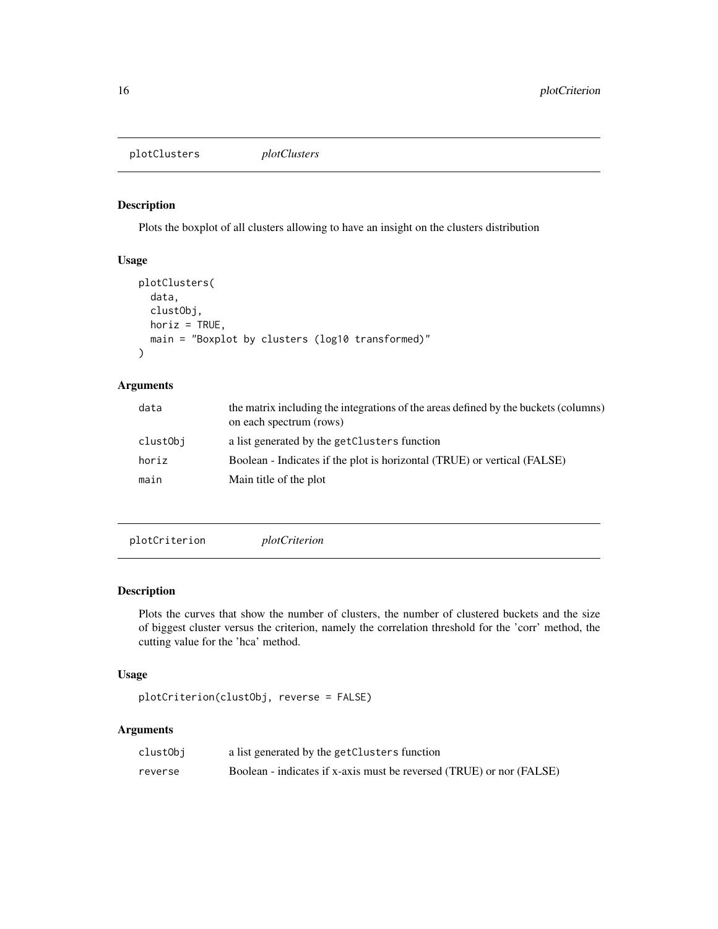<span id="page-15-0"></span>plotClusters *plotClusters*

#### Description

Plots the boxplot of all clusters allowing to have an insight on the clusters distribution

#### Usage

```
plotClusters(
  data,
  clustObj,
 horiz = TRUE,
 main = "Boxplot by clusters (log10 transformed)"
)
```
#### Arguments

| the matrix including the integrations of the areas defined by the buckets (columns) |
|-------------------------------------------------------------------------------------|
|                                                                                     |
| Boolean - Indicates if the plot is horizontal (TRUE) or vertical (FALSE)            |
|                                                                                     |
|                                                                                     |

plotCriterion *plotCriterion*

#### Description

Plots the curves that show the number of clusters, the number of clustered buckets and the size of biggest cluster versus the criterion, namely the correlation threshold for the 'corr' method, the cutting value for the 'hca' method.

#### Usage

```
plotCriterion(clustObj, reverse = FALSE)
```

| clustObj | a list generated by the getClusters function                         |
|----------|----------------------------------------------------------------------|
| reverse  | Boolean - indicates if x-axis must be reversed (TRUE) or nor (FALSE) |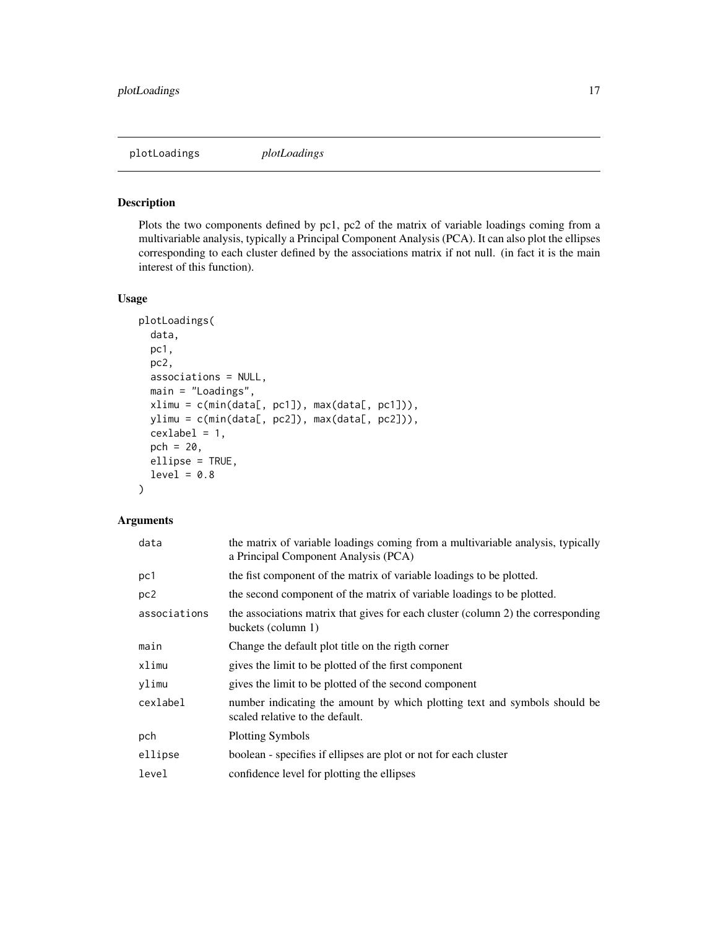<span id="page-16-0"></span>plotLoadings *plotLoadings*

#### Description

Plots the two components defined by pc1, pc2 of the matrix of variable loadings coming from a multivariable analysis, typically a Principal Component Analysis (PCA). It can also plot the ellipses corresponding to each cluster defined by the associations matrix if not null. (in fact it is the main interest of this function).

#### Usage

```
plotLoadings(
 data,
 pc1,
 pc2,
 associations = NULL,
 main = "Loadings",
 xlimu = c(min(data[, pc1]), max(data[, pc1])),
 ylimu = c(min(data[, pc2]), max(data[, pc2])),
 cexlabel = 1,pch = 20,
 ellipse = TRUE,
 level = 0.8)
```

| data            | the matrix of variable loadings coming from a multivariable analysis, typically<br>a Principal Component Analysis (PCA) |
|-----------------|-------------------------------------------------------------------------------------------------------------------------|
| pc1             | the fist component of the matrix of variable loadings to be plotted.                                                    |
| pc <sub>2</sub> | the second component of the matrix of variable loadings to be plotted.                                                  |
| associations    | the associations matrix that gives for each cluster (column 2) the corresponding<br>buckets (column 1)                  |
| main            | Change the default plot title on the rigth corner                                                                       |
| xlimu           | gives the limit to be plotted of the first component                                                                    |
| ylimu           | gives the limit to be plotted of the second component                                                                   |
| cexlabel        | number indicating the amount by which plotting text and symbols should be<br>scaled relative to the default.            |
| pch             | <b>Plotting Symbols</b>                                                                                                 |
| ellipse         | boolean - specifies if ellipses are plot or not for each cluster                                                        |
| level           | confidence level for plotting the ellipses                                                                              |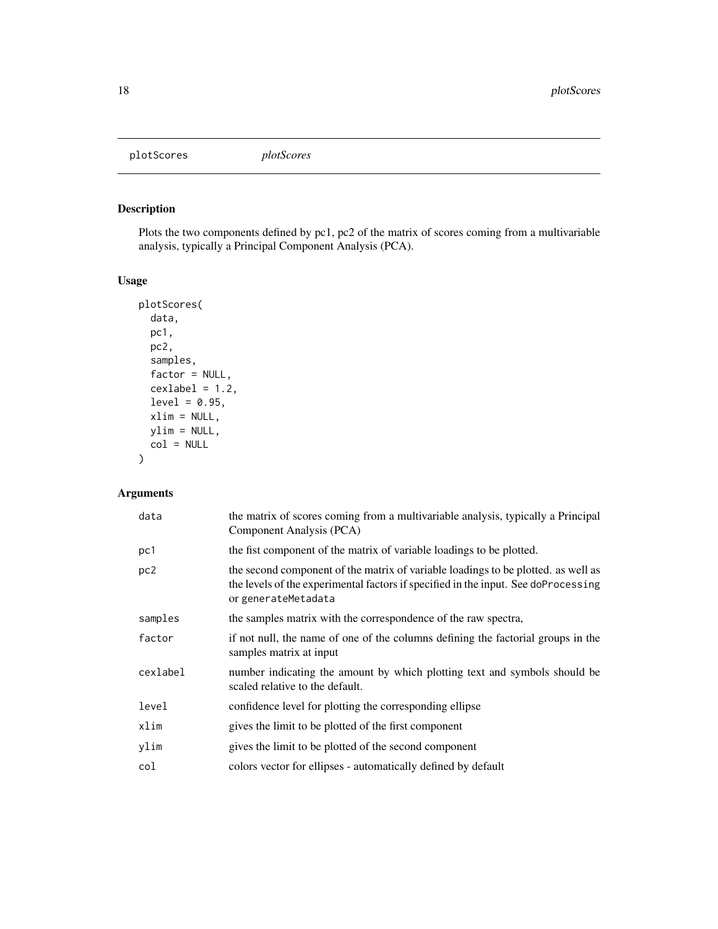<span id="page-17-0"></span>plotScores *plotScores*

#### Description

Plots the two components defined by pc1, pc2 of the matrix of scores coming from a multivariable analysis, typically a Principal Component Analysis (PCA).

#### Usage

```
plotScores(
 data,
 pc1,
 pc2,
  samples,
 factor = NULL,
 cexlabel = 1.2,level = 0.95,xlim = NULL,
 ylim = NULL,
 col = NULL)
```

| data            | the matrix of scores coming from a multivariable analysis, typically a Principal<br>Component Analysis (PCA)                                                                                   |
|-----------------|------------------------------------------------------------------------------------------------------------------------------------------------------------------------------------------------|
| pc1             | the fist component of the matrix of variable loadings to be plotted.                                                                                                                           |
| pc <sub>2</sub> | the second component of the matrix of variable loadings to be plotted, as well as<br>the levels of the experimental factors if specified in the input. See doProcessing<br>or generateMetadata |
| samples         | the samples matrix with the correspondence of the raw spectra,                                                                                                                                 |
| factor          | if not null, the name of one of the columns defining the factorial groups in the<br>samples matrix at input                                                                                    |
| cexlabel        | number indicating the amount by which plotting text and symbols should be<br>scaled relative to the default.                                                                                   |
| level           | confidence level for plotting the corresponding ellipse                                                                                                                                        |
| xlim            | gives the limit to be plotted of the first component                                                                                                                                           |
| ylim            | gives the limit to be plotted of the second component                                                                                                                                          |
| col             | colors vector for ellipses - automatically defined by default                                                                                                                                  |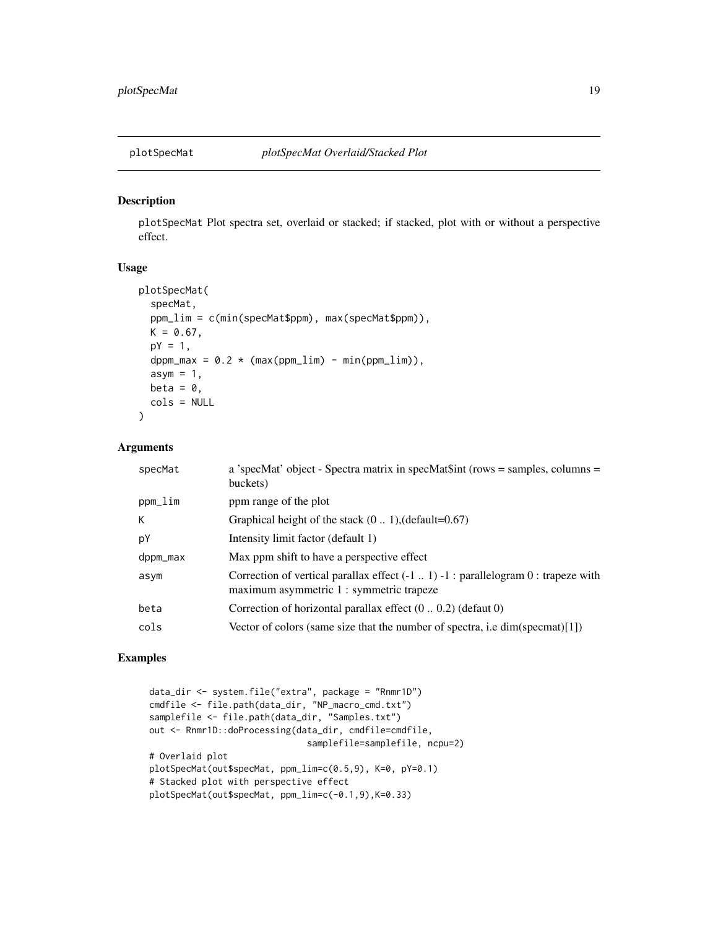<span id="page-18-0"></span>

#### Description

plotSpecMat Plot spectra set, overlaid or stacked; if stacked, plot with or without a perspective effect.

#### Usage

```
plotSpecMat(
  specMat,
 ppm_lim = c(min(specMat$ppm), max(specMat$ppm)),
 K = 0.67,
 pY = 1,
 dppm_max = 0.2 * (max(ppm\_lim) - min(ppm\_lim)),asym = 1,
 beta = \theta,
  cols = NULL
)
```
#### Arguments

| specMat  | a 'specMat' object - Spectra matrix in specMat $\text{Sint}$ (rows = samples, columns =<br>buckets)                                  |
|----------|--------------------------------------------------------------------------------------------------------------------------------------|
| ppm_lim  | ppm range of the plot                                                                                                                |
| К        | Graphical height of the stack $(0 1)$ , (default=0.67)                                                                               |
| pY       | Intensity limit factor (default 1)                                                                                                   |
| dppm_max | Max ppm shift to have a perspective effect                                                                                           |
| asym     | Correction of vertical parallax effect $(-1 \dots 1) -1$ : parallelogram 0: trapeze with<br>maximum asymmetric 1 : symmetric trapeze |
| beta     | Correction of horizontal parallax effect $(0 0.2)$ (defaut 0)                                                                        |
| cols     | Vector of colors (same size that the number of spectra, i.e $dim(s$ pecmat)[1])                                                      |
|          |                                                                                                                                      |

#### Examples

```
data_dir <- system.file("extra", package = "Rnmr1D")
cmdfile <- file.path(data_dir, "NP_macro_cmd.txt")
samplefile <- file.path(data_dir, "Samples.txt")
out <- Rnmr1D::doProcessing(data_dir, cmdfile=cmdfile,
                              samplefile=samplefile, ncpu=2)
# Overlaid plot
plotSpecMat(out$specMat, ppm_lim=c(0.5,9), K=0, pY=0.1)
# Stacked plot with perspective effect
plotSpecMat(out$specMat, ppm_lim=c(-0.1,9),K=0.33)
```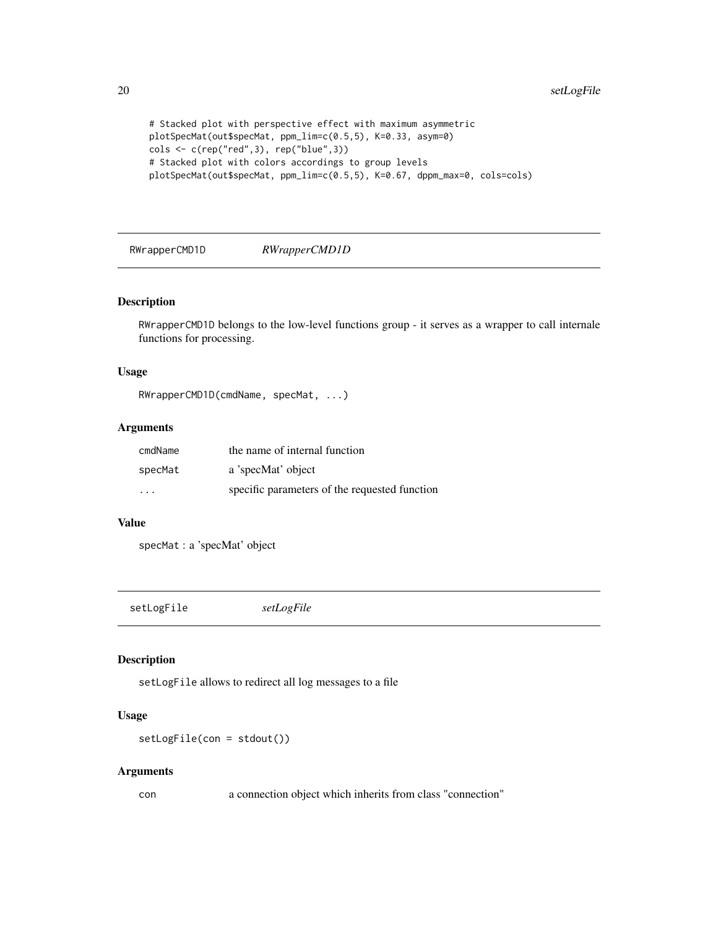```
# Stacked plot with perspective effect with maximum asymmetric
plotSpecMat(out$specMat, ppm_lim=c(0.5,5), K=0.33, asym=0)
cols <- c(rep("red",3), rep("blue",3))
# Stacked plot with colors accordings to group levels
plotSpecMat(out$specMat, ppm_lim=c(0.5,5), K=0.67, dppm_max=0, cols=cols)
```
RWrapperCMD1D *RWrapperCMD1D*

#### Description

RWrapperCMD1D belongs to the low-level functions group - it serves as a wrapper to call internale functions for processing.

#### Usage

RWrapperCMD1D(cmdName, specMat, ...)

#### Arguments

| cmdName | the name of internal function                 |
|---------|-----------------------------------------------|
| specMat | a 'specMat' object                            |
| .       | specific parameters of the requested function |

#### Value

specMat : a 'specMat' object

setLogFile *setLogFile*

#### Description

setLogFile allows to redirect all log messages to a file

#### Usage

setLogFile(con = stdout())

#### Arguments

con a connection object which inherits from class "connection"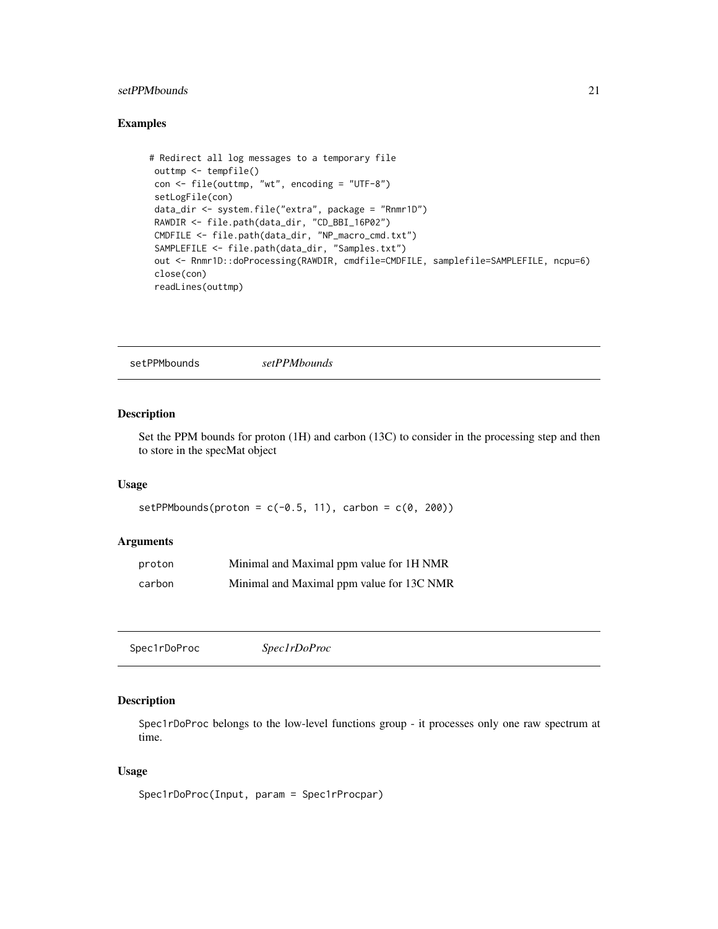#### <span id="page-20-0"></span>setPPMbounds 21

#### Examples

```
# Redirect all log messages to a temporary file
outtmp <- tempfile()
 con <- file(outtmp, "wt", encoding = "UTF-8")
 setLogFile(con)
 data_dir <- system.file("extra", package = "Rnmr1D")
 RAWDIR <- file.path(data_dir, "CD_BBI_16P02")
 CMDFILE <- file.path(data_dir, "NP_macro_cmd.txt")
 SAMPLEFILE <- file.path(data_dir, "Samples.txt")
 out <- Rnmr1D::doProcessing(RAWDIR, cmdfile=CMDFILE, samplefile=SAMPLEFILE, ncpu=6)
 close(con)
 readLines(outtmp)
```
setPPMbounds *setPPMbounds*

#### Description

Set the PPM bounds for proton (1H) and carbon (13C) to consider in the processing step and then to store in the specMat object

#### Usage

```
setPPMbounds(proton = c(-0.5, 11), carbon = c(0, 200))
```
#### Arguments

| proton | Minimal and Maximal ppm value for 1H NMR  |
|--------|-------------------------------------------|
| carbon | Minimal and Maximal ppm value for 13C NMR |

```
Spec1rDoProc Spec1rDoProc
```
#### Description

Spec1rDoProc belongs to the low-level functions group - it processes only one raw spectrum at time.

#### Usage

```
Spec1rDoProc(Input, param = Spec1rProcpar)
```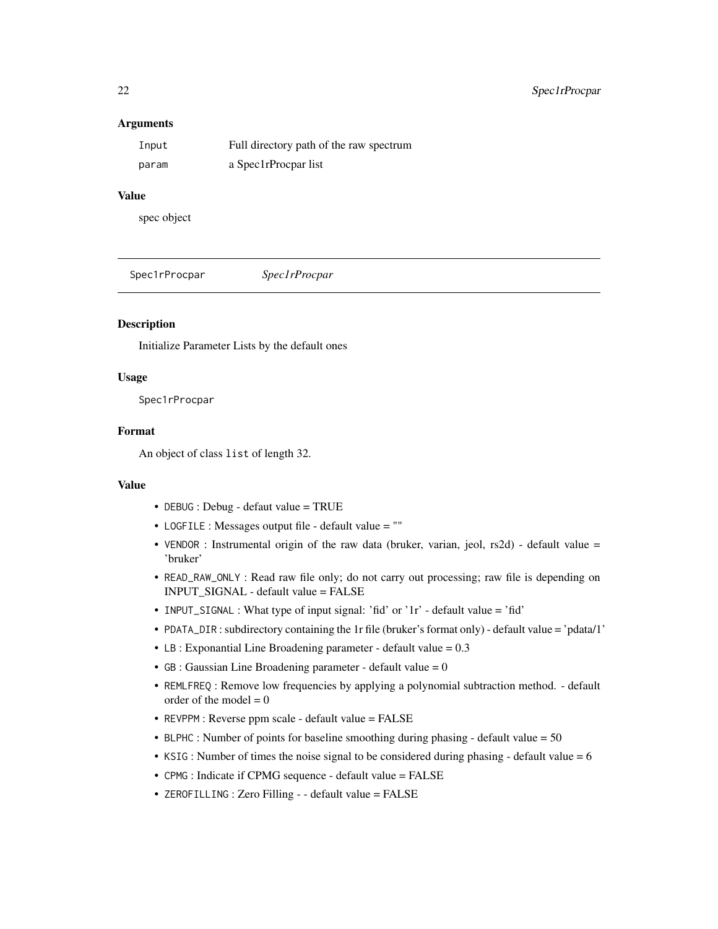#### <span id="page-21-0"></span>Arguments

| Input | Full directory path of the raw spectrum |
|-------|-----------------------------------------|
| param | a Spec1rProcpar list                    |

#### Value

spec object

Spec1rProcpar *Spec1rProcpar*

#### Description

Initialize Parameter Lists by the default ones

#### Usage

Spec1rProcpar

#### Format

An object of class list of length 32.

#### Value

- DEBUG : Debug defaut value = TRUE
- LOGFILE : Messages output file default value = ""
- VENDOR : Instrumental origin of the raw data (bruker, varian, jeol, rs2d) default value = 'bruker'
- READ\_RAW\_ONLY : Read raw file only; do not carry out processing; raw file is depending on INPUT\_SIGNAL - default value = FALSE
- INPUT\_SIGNAL : What type of input signal: 'fid' or '1r' default value = 'fid'
- PDATA\_DIR : subdirectory containing the 1r file (bruker's format only) default value = 'pdata/1'
- LB : Exponantial Line Broadening parameter default value  $= 0.3$
- GB : Gaussian Line Broadening parameter default value = 0
- REMLFREQ : Remove low frequencies by applying a polynomial subtraction method. default order of the model  $= 0$
- REVPPM : Reverse ppm scale default value = FALSE
- BLPHC : Number of points for baseline smoothing during phasing default value = 50
- KSIG : Number of times the noise signal to be considered during phasing default value = 6
- CPMG : Indicate if CPMG sequence default value = FALSE
- ZEROFILLING : Zero Filling - default value = FALSE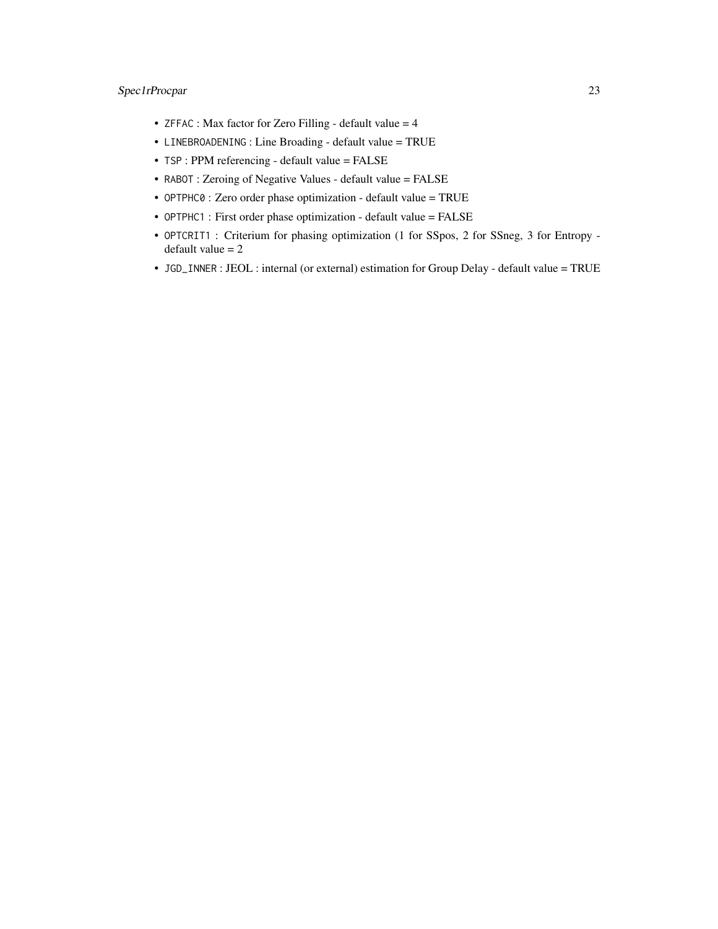#### Spec1rProcpar 23

- ZFFAC : Max factor for Zero Filling default value = 4
- LINEBROADENING : Line Broading default value = TRUE
- TSP : PPM referencing default value = FALSE
- RABOT : Zeroing of Negative Values default value = FALSE
- OPTPHC0 : Zero order phase optimization default value = TRUE
- OPTPHC1 : First order phase optimization default value = FALSE
- OPTCRIT1 : Criterium for phasing optimization (1 for SSpos, 2 for SSneg, 3 for Entropy default value  $= 2$
- JGD\_INNER : JEOL : internal (or external) estimation for Group Delay default value = TRUE